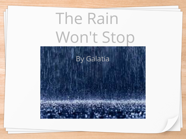## The Rain Won't Stop

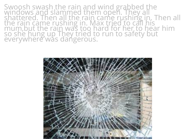Swoosh swash the rain and wind grabbed the<br>windows and slammed them open. They all<br>shattered. Then all the rain came rushing in. Then all<br>the rain came rushing in. Max tried to call his<br>mum,but the rain was too hard for he

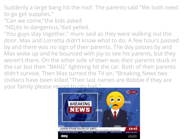Suddenly a large bang hit the roof. The parents said "We both need to go get supplies."

- "Can we come,"the kids asked
- "NO,its to dangerous,"dad yelled.
- "You guys stay together," mum said as they were walking out the door. Max and Lorretta didn't know what to do. A few hours passed by and there was no sign of their parents. The day passes by and Max woke up and he bounced with joy to see his parents, but they weren't there. On the other side of town was their parents stuck in the car but then "BANG" lightning hit the car. Both of their parents didn't survive. Then Max turned the TV on. "Breaking News two civilians have been killed."Their last names are Bobble if they are your family please report to city hall."